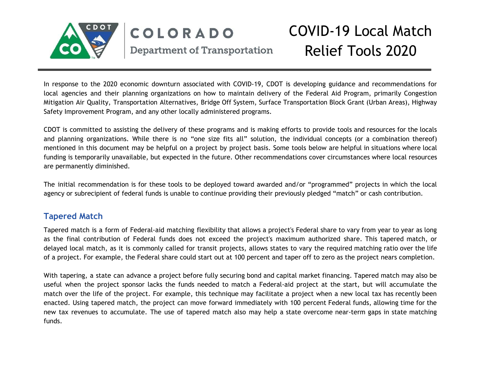

#### COVID-19 Local Match COLORADO Relief Tools 2020 **Department of Transportation**

In response to the 2020 economic downturn associated with COVID-19, CDOT is developing guidance and recommendations for local agencies and their planning organizations on how to maintain delivery of the Federal Aid Program, primarily Congestion Mitigation Air Quality, Transportation Alternatives, Bridge Off System, Surface Transportation Block Grant (Urban Areas), Highway Safety Improvement Program, and any other locally administered programs.

CDOT is committed to assisting the delivery of these programs and is making efforts to provide tools and resources for the locals and planning organizations. While there is no "one size fits all" solution, the individual concepts (or a combination thereof) mentioned in this document may be helpful on a project by project basis. Some tools below are helpful in situations where local funding is temporarily unavailable, but expected in the future. Other recommendations cover circumstances where local resources are permanently diminished.

The initial recommendation is for these tools to be deployed toward awarded and/or "programmed" projects in which the local agency or subrecipient of federal funds is unable to continue providing their previously pledged "match" or cash contribution.

#### **Tapered Match**

Tapered match is a form of Federal-aid matching flexibility that allows a project's Federal share to vary from year to year as long as the final contribution of Federal funds does not exceed the project's maximum authorized share. This tapered match, or delayed local match, as it is commonly called for transit projects, allows states to vary the required matching ratio over the life of a project. For example, the Federal share could start out at 100 percent and taper off to zero as the project nears completion.

With tapering, a state can advance a project before fully securing bond and capital market financing. Tapered match may also be useful when the project sponsor lacks the funds needed to match a Federal-aid project at the start, but will accumulate the match over the life of the project. For example, this technique may facilitate a project when a new local tax has recently been enacted. Using tapered match, the project can move forward immediately with 100 percent Federal funds, allowing time for the new tax revenues to accumulate. The use of tapered match also may help a state overcome near-term gaps in state matching funds.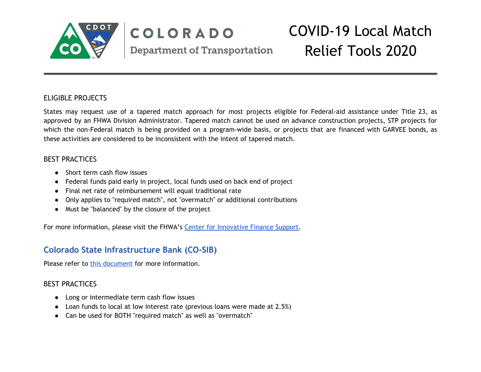

## COLORADO **Department of Transportation**

# COVID-19 Local Match Relief Tools 2020

#### ELIGIBLE PROJECTS

States may request use of a tapered match approach for most projects eligible for Federal-aid assistance under Title 23, as approved by an FHWA Division Administrator. Tapered match cannot be used on advance construction projects, STP projects for which the non-Federal match is being provided on a program-wide basis, or projects that are financed with GARVEE bonds, as these activities are considered to be inconsistent with the intent of tapered match.

#### BEST PRACTICES

- Short term cash flow issues
- Federal funds paid early in project, local funds used on back end of project
- Final net rate of reimbursement will equal traditional rate
- Only applies to "required match", not "overmatch" or additional contributions
- Must be "balanced" by the closure of the project

For more information, please visit the FHWA's Center for [Innovative](https://www.fhwa.dot.gov/ipd/finance/tools_programs/federal_aid/matching_strategies/tapered_match.aspx) Finance Support.

### **Colorado State Infrastructure Bank (CO-SIB)**

Please refer to this [document](https://docs.google.com/document/d/1wqhJr-4Uxbk7yqny4Uq04FzTRselFJYpJKHhCl9UcAI/edit) for more information.

#### BEST PRACTICES

- Long or intermediate term cash flow issues
- Loan funds to local at low interest rate (previous loans were made at 2.5%)
- Can be used for BOTH "required match" as well as "overmatch"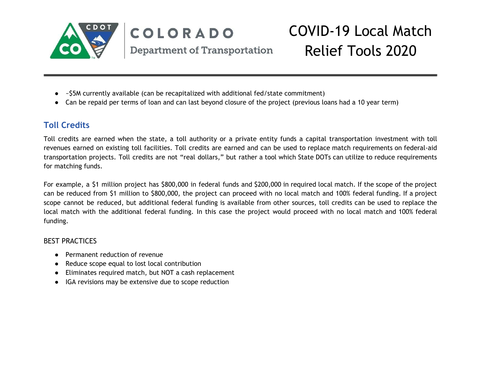

#### COVID-19 Local Match COLORADO Relief Tools 2020 **Department of Transportation**

- ~\$5M currently available (can be recapitalized with additional fed/state commitment)
- Can be repaid per terms of loan and can last beyond closure of the project (previous loans had a 10 year term)

### **Toll Credits**

Toll credits are earned when the state, a toll authority or a private entity funds a capital transportation investment with toll revenues earned on existing toll facilities. Toll credits are earned and can be used to replace match requirements on federal-aid transportation projects. Toll credits are not "real dollars," but rather a tool which State DOTs can utilize to reduce requirements for matching funds.

For example, a \$1 million project has \$800,000 in federal funds and \$200,000 in required local match. If the scope of the project can be reduced from \$1 million to \$800,000, the project can proceed with no local match and 100% federal funding. If a project scope cannot be reduced, but additional federal funding is available from other sources, toll credits can be used to replace the local match with the additional federal funding. In this case the project would proceed with no local match and 100% federal funding.

#### BEST PRACTICES

- Permanent reduction of revenue
- Reduce scope equal to lost local contribution
- Eliminates required match, but NOT a cash replacement
- IGA revisions may be extensive due to scope reduction